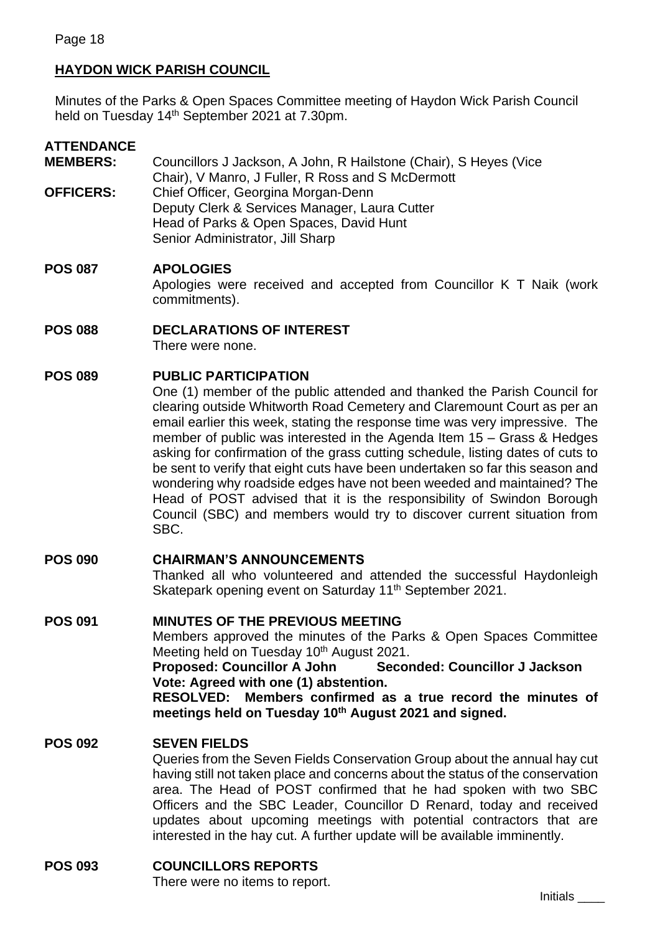# **HAYDON WICK PARISH COUNCIL**

Minutes of the Parks & Open Spaces Committee meeting of Haydon Wick Parish Council held on Tuesday 14<sup>th</sup> September 2021 at 7.30pm.

# **ATTENDANCE**

**MEMBERS:** Councillors J Jackson, A John, R Hailstone (Chair), S Heyes (Vice Chair), V Manro, J Fuller, R Ross and S McDermott **OFFICERS:** Chief Officer, Georgina Morgan-Denn Deputy Clerk & Services Manager, Laura Cutter Head of Parks & Open Spaces, David Hunt Senior Administrator, Jill Sharp

## **POS 087 APOLOGIES**

Apologies were received and accepted from Councillor K T Naik (work commitments).

**POS 088 DECLARATIONS OF INTEREST** There were none.

### **POS 089 PUBLIC PARTICIPATION**

One (1) member of the public attended and thanked the Parish Council for clearing outside Whitworth Road Cemetery and Claremount Court as per an email earlier this week, stating the response time was very impressive. The member of public was interested in the Agenda Item 15 – Grass & Hedges asking for confirmation of the grass cutting schedule, listing dates of cuts to be sent to verify that eight cuts have been undertaken so far this season and wondering why roadside edges have not been weeded and maintained? The Head of POST advised that it is the responsibility of Swindon Borough Council (SBC) and members would try to discover current situation from SBC.

**POS 090 CHAIRMAN'S ANNOUNCEMENTS**  Thanked all who volunteered and attended the successful Haydonleigh Skatepark opening event on Saturday 11<sup>th</sup> September 2021.

## **POS 091 MINUTES OF THE PREVIOUS MEETING** Members approved the minutes of the Parks & Open Spaces Committee Meeting held on Tuesday 10<sup>th</sup> August 2021. **Proposed: Councillor A John Seconded: Councillor J Jackson Vote: Agreed with one (1) abstention. RESOLVED: Members confirmed as a true record the minutes of meetings held on Tuesday 10 th August 2021 and signed.**

### **POS 092 SEVEN FIELDS**

Queries from the Seven Fields Conservation Group about the annual hay cut having still not taken place and concerns about the status of the conservation area. The Head of POST confirmed that he had spoken with two SBC Officers and the SBC Leader, Councillor D Renard, today and received updates about upcoming meetings with potential contractors that are interested in the hay cut. A further update will be available imminently.

### **POS 093 COUNCILLORS REPORTS**

There were no items to report.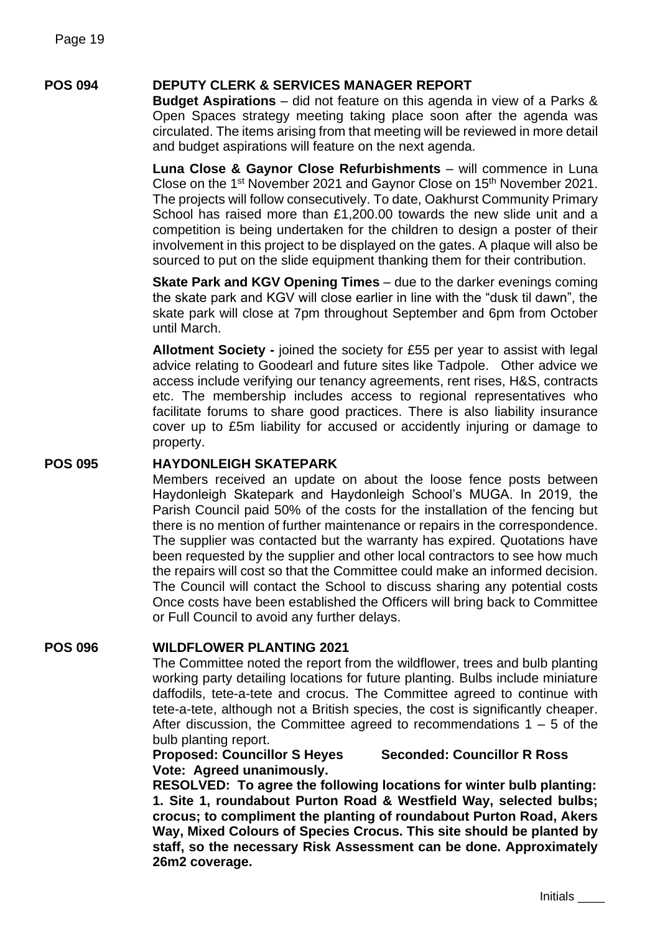## **POS 094 DEPUTY CLERK & SERVICES MANAGER REPORT**

**Budget Aspirations** – did not feature on this agenda in view of a Parks & Open Spaces strategy meeting taking place soon after the agenda was circulated. The items arising from that meeting will be reviewed in more detail and budget aspirations will feature on the next agenda.

**Luna Close & Gaynor Close Refurbishments** – will commence in Luna Close on the 1<sup>st</sup> November 2021 and Gaynor Close on 15<sup>th</sup> November 2021. The projects will follow consecutively. To date, Oakhurst Community Primary School has raised more than £1,200.00 towards the new slide unit and a competition is being undertaken for the children to design a poster of their involvement in this project to be displayed on the gates. A plaque will also be sourced to put on the slide equipment thanking them for their contribution.

**Skate Park and KGV Opening Times** – due to the darker evenings coming the skate park and KGV will close earlier in line with the "dusk til dawn", the skate park will close at 7pm throughout September and 6pm from October until March.

**Allotment Society -** joined the society for £55 per year to assist with legal advice relating to Goodearl and future sites like Tadpole. Other advice we access include verifying our tenancy agreements, rent rises, H&S, contracts etc. The membership includes access to regional representatives who facilitate forums to share good practices. There is also liability insurance cover up to £5m liability for accused or accidently injuring or damage to property.

#### **POS 095 HAYDONLEIGH SKATEPARK**

Members received an update on about the loose fence posts between Haydonleigh Skatepark and Haydonleigh School's MUGA. In 2019, the Parish Council paid 50% of the costs for the installation of the fencing but there is no mention of further maintenance or repairs in the correspondence. The supplier was contacted but the warranty has expired. Quotations have been requested by the supplier and other local contractors to see how much the repairs will cost so that the Committee could make an informed decision. The Council will contact the School to discuss sharing any potential costs Once costs have been established the Officers will bring back to Committee or Full Council to avoid any further delays.

#### **POS 096 WILDFLOWER PLANTING 2021**

The Committee noted the report from the wildflower, trees and bulb planting working party detailing locations for future planting. Bulbs include miniature daffodils, tete-a-tete and crocus. The Committee agreed to continue with tete-a-tete, although not a British species, the cost is significantly cheaper. After discussion, the Committee agreed to recommendations  $1 - 5$  of the bulb planting report.

### **Proposed: Councillor S Heyes Seconded: Councillor R Ross Vote: Agreed unanimously.**

**RESOLVED: To agree the following locations for winter bulb planting: 1. Site 1, roundabout Purton Road & Westfield Way, selected bulbs; crocus; to compliment the planting of roundabout Purton Road, Akers Way, Mixed Colours of Species Crocus. This site should be planted by staff, so the necessary Risk Assessment can be done. Approximately 26m2 coverage.**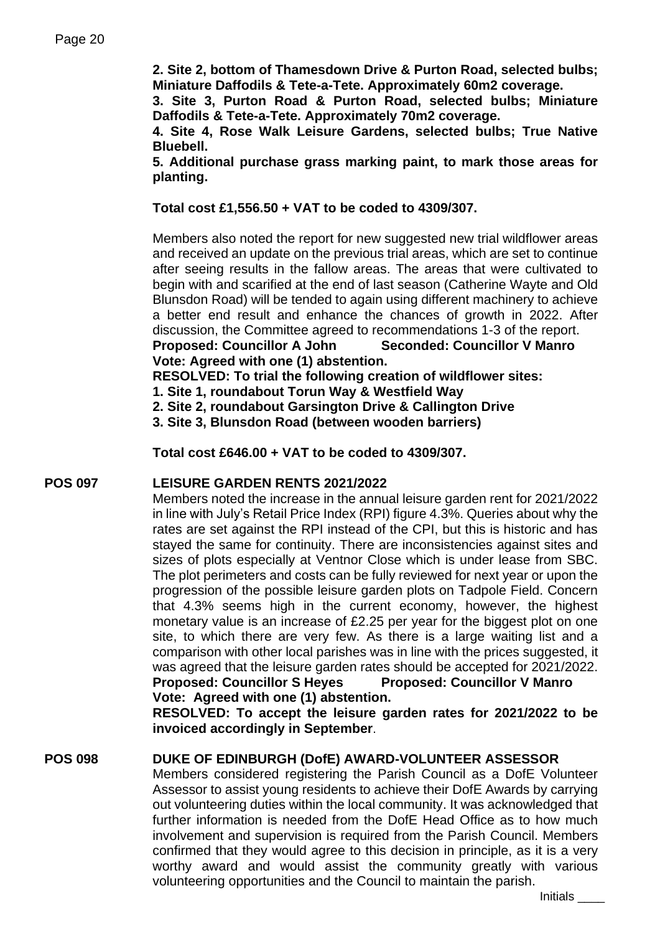**2. Site 2, bottom of Thamesdown Drive & Purton Road, selected bulbs; Miniature Daffodils & Tete-a-Tete. Approximately 60m2 coverage.**

**3. Site 3, Purton Road & Purton Road, selected bulbs; Miniature Daffodils & Tete-a-Tete. Approximately 70m2 coverage.**

**4. Site 4, Rose Walk Leisure Gardens, selected bulbs; True Native Bluebell.**

**5. Additional purchase grass marking paint, to mark those areas for planting.**

**Total cost £1,556.50 + VAT to be coded to 4309/307.**

Members also noted the report for new suggested new trial wildflower areas and received an update on the previous trial areas, which are set to continue after seeing results in the fallow areas. The areas that were cultivated to begin with and scarified at the end of last season (Catherine Wayte and Old Blunsdon Road) will be tended to again using different machinery to achieve a better end result and enhance the chances of growth in 2022. After discussion, the Committee agreed to recommendations 1-3 of the report. **Proposed: Councillor A John Seconded: Councillor V Manro**

**Vote: Agreed with one (1) abstention.** 

**RESOLVED: To trial the following creation of wildflower sites:**

**1. Site 1, roundabout Torun Way & Westfield Way**

**2. Site 2, roundabout Garsington Drive & Callington Drive**

**3. Site 3, Blunsdon Road (between wooden barriers)**

**Total cost £646.00 + VAT to be coded to 4309/307.**

### **POS 097 LEISURE GARDEN RENTS 2021/2022**

Members noted the increase in the annual leisure garden rent for 2021/2022 in line with July's Retail Price Index (RPI) figure 4.3%. Queries about why the rates are set against the RPI instead of the CPI, but this is historic and has stayed the same for continuity. There are inconsistencies against sites and sizes of plots especially at Ventnor Close which is under lease from SBC. The plot perimeters and costs can be fully reviewed for next year or upon the progression of the possible leisure garden plots on Tadpole Field. Concern that 4.3% seems high in the current economy, however, the highest monetary value is an increase of £2.25 per year for the biggest plot on one site, to which there are very few. As there is a large waiting list and a comparison with other local parishes was in line with the prices suggested, it was agreed that the leisure garden rates should be accepted for 2021/2022. **Proposed: Councillor S Heyes Proposed: Councillor V Manro**

**Vote: Agreed with one (1) abstention.** 

**RESOLVED: To accept the leisure garden rates for 2021/2022 to be invoiced accordingly in September**.

### **POS 098 DUKE OF EDINBURGH (DofE) AWARD-VOLUNTEER ASSESSOR**

Members considered registering the Parish Council as a DofE Volunteer Assessor to assist young residents to achieve their DofE Awards by carrying out volunteering duties within the local community. It was acknowledged that further information is needed from the DofE Head Office as to how much involvement and supervision is required from the Parish Council. Members confirmed that they would agree to this decision in principle, as it is a very worthy award and would assist the community greatly with various volunteering opportunities and the Council to maintain the parish.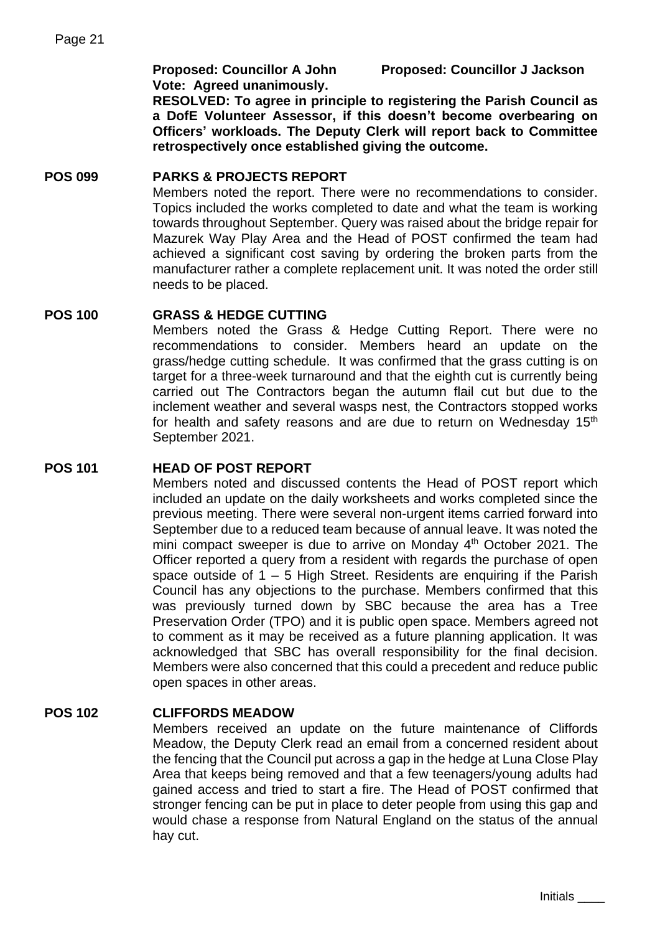**Proposed: Councillor A John Proposed: Councillor J Jackson**

**Vote: Agreed unanimously.**

**RESOLVED: To agree in principle to registering the Parish Council as a DofE Volunteer Assessor, if this doesn't become overbearing on Officers' workloads. The Deputy Clerk will report back to Committee retrospectively once established giving the outcome.**

## **POS 099 PARKS & PROJECTS REPORT**

Members noted the report. There were no recommendations to consider. Topics included the works completed to date and what the team is working towards throughout September. Query was raised about the bridge repair for Mazurek Way Play Area and the Head of POST confirmed the team had achieved a significant cost saving by ordering the broken parts from the manufacturer rather a complete replacement unit. It was noted the order still needs to be placed.

## **POS 100 GRASS & HEDGE CUTTING**

Members noted the Grass & Hedge Cutting Report. There were no recommendations to consider. Members heard an update on the grass/hedge cutting schedule. It was confirmed that the grass cutting is on target for a three-week turnaround and that the eighth cut is currently being carried out The Contractors began the autumn flail cut but due to the inclement weather and several wasps nest, the Contractors stopped works for health and safety reasons and are due to return on Wednesday 15<sup>th</sup> September 2021.

### **POS 101 HEAD OF POST REPORT**

Members noted and discussed contents the Head of POST report which included an update on the daily worksheets and works completed since the previous meeting. There were several non-urgent items carried forward into September due to a reduced team because of annual leave. It was noted the mini compact sweeper is due to arrive on Monday  $4<sup>th</sup>$  October 2021. The Officer reported a query from a resident with regards the purchase of open space outside of  $1 - 5$  High Street. Residents are enquiring if the Parish Council has any objections to the purchase. Members confirmed that this was previously turned down by SBC because the area has a Tree Preservation Order (TPO) and it is public open space. Members agreed not to comment as it may be received as a future planning application. It was acknowledged that SBC has overall responsibility for the final decision. Members were also concerned that this could a precedent and reduce public open spaces in other areas.

### **POS 102 CLIFFORDS MEADOW**

Members received an update on the future maintenance of Cliffords Meadow, the Deputy Clerk read an email from a concerned resident about the fencing that the Council put across a gap in the hedge at Luna Close Play Area that keeps being removed and that a few teenagers/young adults had gained access and tried to start a fire. The Head of POST confirmed that stronger fencing can be put in place to deter people from using this gap and would chase a response from Natural England on the status of the annual hay cut.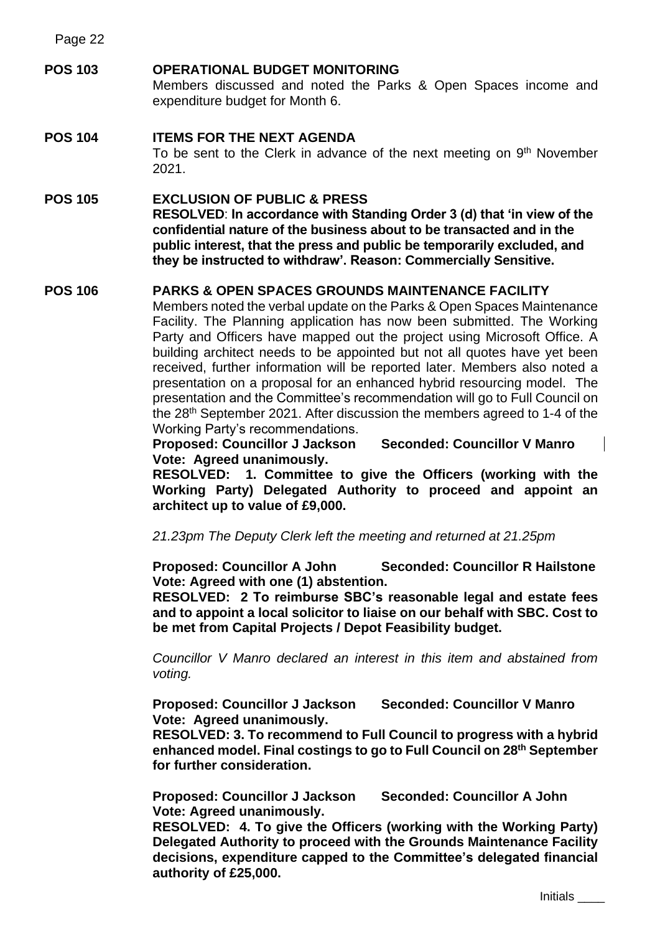Page 22

### **POS 103 OPERATIONAL BUDGET MONITORING**

Members discussed and noted the Parks & Open Spaces income and expenditure budget for Month 6.

## **POS 104 ITEMS FOR THE NEXT AGENDA** To be sent to the Clerk in advance of the next meeting on 9<sup>th</sup> November 2021.

#### **POS 105 EXCLUSION OF PUBLIC & PRESS RESOLVED**: **In accordance with Standing Order 3 (d) that 'in view of the confidential nature of the business about to be transacted and in the public interest, that the press and public be temporarily excluded, and they be instructed to withdraw'. Reason: Commercially Sensitive.**

## **POS 106 PARKS & OPEN SPACES GROUNDS MAINTENANCE FACILITY**

Members noted the verbal update on the Parks & Open Spaces Maintenance Facility. The Planning application has now been submitted. The Working Party and Officers have mapped out the project using Microsoft Office. A building architect needs to be appointed but not all quotes have yet been received, further information will be reported later. Members also noted a presentation on a proposal for an enhanced hybrid resourcing model. The presentation and the Committee's recommendation will go to Full Council on the 28<sup>th</sup> September 2021. After discussion the members agreed to 1-4 of the Working Party's recommendations.

**Proposed: Councillor J Jackson Seconded: Councillor V Manro Vote: Agreed unanimously.**

**RESOLVED: 1. Committee to give the Officers (working with the Working Party) Delegated Authority to proceed and appoint an architect up to value of £9,000.**

*21.23pm The Deputy Clerk left the meeting and returned at 21.25pm*

**Proposed: Councillor A John Seconded: Councillor R Hailstone Vote: Agreed with one (1) abstention.**

**RESOLVED: 2 To reimburse SBC's reasonable legal and estate fees and to appoint a local solicitor to liaise on our behalf with SBC. Cost to be met from Capital Projects / Depot Feasibility budget.**

*Councillor V Manro declared an interest in this item and abstained from voting.*

**Proposed: Councillor J Jackson Seconded: Councillor V Manro Vote: Agreed unanimously.**

**RESOLVED: 3. To recommend to Full Council to progress with a hybrid enhanced model. Final costings to go to Full Council on 28th September for further consideration.**

**Proposed: Councillor J Jackson Seconded: Councillor A John Vote: Agreed unanimously.**

**RESOLVED: 4. To give the Officers (working with the Working Party) Delegated Authority to proceed with the Grounds Maintenance Facility decisions, expenditure capped to the Committee's delegated financial authority of £25,000.**